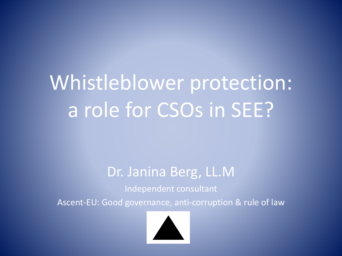## Whistleblower protection: a role for CSOs in SEE?

#### Dr. Janina Berg, LL.M

Independent consultant

Ascent-EU: Good governance, anti-corruption & rule of law

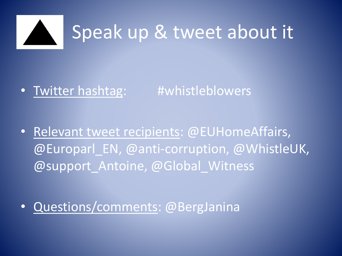

### • Twitter hashtag: #whistleblowers

- Relevant tweet recipients: @EUHomeAffairs, @Europarl\_EN, @anti-corruption, @WhistleUK, @support Antoine, @Global Witness
- Questions/comments: @BergJanina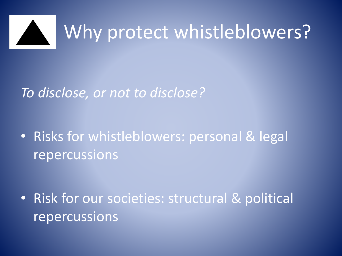

#### *To disclose, or not to disclose?*

• Risks for whistleblowers: personal & legal repercussions

• Risk for our societies: structural & political repercussions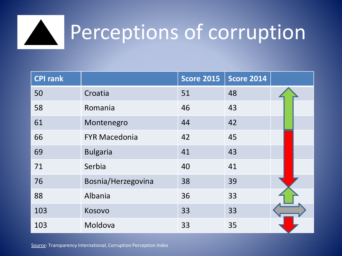

### Perceptions of corruption

| <b>CPI rank</b> |                      | <b>Score 2015</b> | <b>Score 2014</b> |  |
|-----------------|----------------------|-------------------|-------------------|--|
| 50              | Croatia              | 51                | 48                |  |
| 58              | Romania              | 46                | 43                |  |
| 61              | Montenegro           | 44                | 42                |  |
| 66              | <b>FYR Macedonia</b> | 42                | 45                |  |
| 69              | <b>Bulgaria</b>      | 41                | 43                |  |
| 71              | Serbia               | 40                | 41                |  |
| 76              | Bosnia/Herzegovina   | 38                | 39                |  |
| 88              | Albania              | 36                | 33                |  |
| 103             | Kosovo               | 33                | 33                |  |
| 103             | Moldova              | 33                | 35                |  |

Source: Transparency International, Corruption Perception Index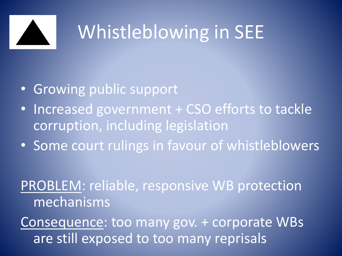

### Whistleblowing in SEE

- Growing public support
- Increased government + CSO efforts to tackle corruption, including legislation
- Some court rulings in favour of whistleblowers

### PROBLEM: reliable, responsive WB protection mechanisms

Consequence: too many gov. + corporate WBs are still exposed to too many reprisals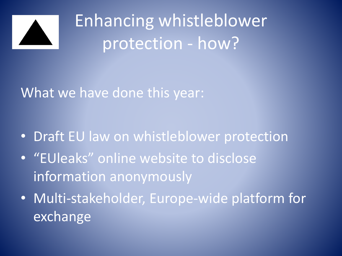

Enhancing whistleblower protection - how?

What we have done this year:

- Draft EU law on whistleblower protection
- "EUleaks" online website to disclose information anonymously
- Multi-stakeholder, Europe-wide platform for exchange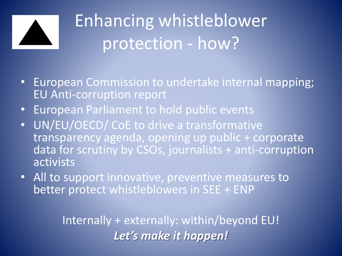

### Enhancing whistleblower protection - how?

- European Commission to undertake internal mapping; EU Anti-corruption report
- European Parliament to hold public events
- UN/EU/OECD/ CoE to drive a transformative transparency agenda, opening up public + corporate data for scrutiny by CSOs, journalists + anti-corruption activists
- All to support innovative, preventive measures to better protect whistleblowers in SEE + ENP

Internally + externally: within/beyond EU! *Let's make it happen!*